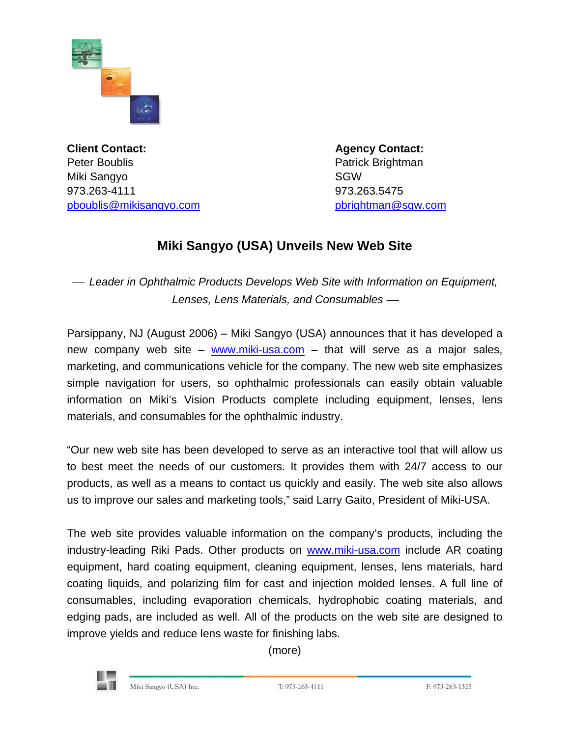

**Client Contact: Agency Contact: Agency Contact: Agency Contact:** Peter Boublis **Patrick Brightman** Miki Sangyo SGW 973.263-4111 973.263.5475 [pboublis@mikisangyo.com](mailto:pboublis@mikisangyo.com) [pbrightman@sgw.com](mailto:pbrightman@sgw.com)

## **Miki Sangyo (USA) Unveils New Web Site**

<sup>⎯</sup> *Leader in Ophthalmic Products Develops Web Site with Information on Equipment,*  **Lenses, Lens Materials, and Consumables —** 

Parsippany, NJ (August 2006) – Miki Sangyo (USA) announces that it has developed a new company web site – [www.miki-usa.com](http://www.miki-usa.com/) – that will serve as a major sales, marketing, and communications vehicle for the company. The new web site emphasizes simple navigation for users, so ophthalmic professionals can easily obtain valuable information on Miki's Vision Products complete including equipment, lenses, lens materials, and consumables for the ophthalmic industry.

"Our new web site has been developed to serve as an interactive tool that will allow us to best meet the needs of our customers. It provides them with 24/7 access to our products, as well as a means to contact us quickly and easily. The web site also allows us to improve our sales and marketing tools," said Larry Gaito, President of Miki-USA.

The web site provides valuable information on the company's products, including the industry-leading Riki Pads. Other products on [www.miki-usa.com](http://www.miki-usa.com/) include AR coating equipment, hard coating equipment, cleaning equipment, lenses, lens materials, hard coating liquids, and polarizing film for cast and injection molded lenses. A full line of consumables, including evaporation chemicals, hydrophobic coating materials, and edging pads, are included as well. All of the products on the web site are designed to improve yields and reduce lens waste for finishing labs.

(more)